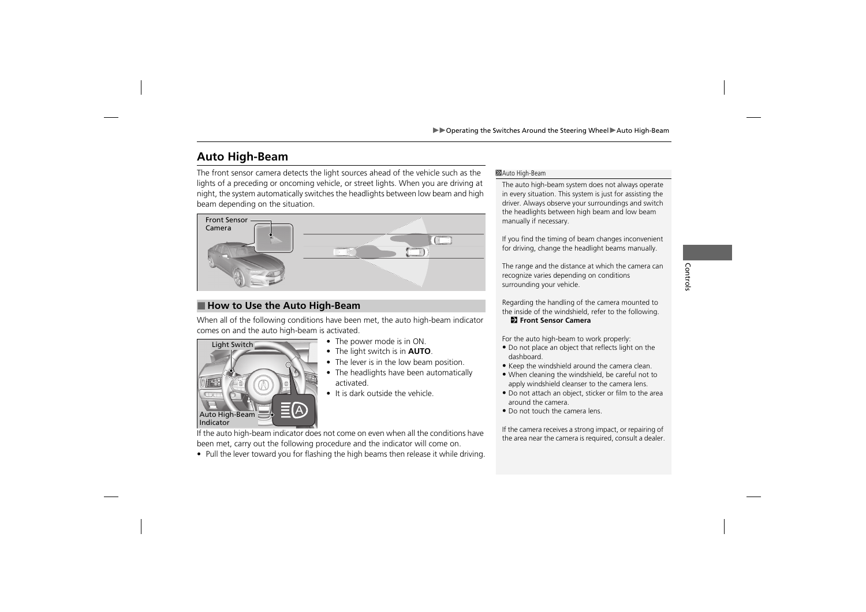# **Auto High-Beam**

The front sensor camera detects the light sources ahead of the vehicle such as the lights of a preceding or oncoming vehicle, or street lights. When you are driving at night, the system automatically switches the headlights between low beam and high beam depending on the situation.



# ■ How to Use the Auto High-Beam

When all of the following conditions have been met, the auto high-beam indicator comes on and the auto high-beam is activated.



- The power mode is in ON.
- The light switch is in **AUTO**.
- The lever is in the low beam position.
- The headlights have been automatically activated.
- It is dark outside the vehicle.

#### >> Auto High-Beam

The auto high-beam system does not always operate in every situation. This system is just for assisting the driver. Always observe your surroundings and switch the headlights between high beam and low beam manually if necessary.

If you find the timing of beam changes inconvenient for driving, change the headlight beams manually.

The range and the distance at which the camera can recognize varies depending on conditions surrounding your vehicle.

Regarding the handling of the camera mounted to the inside of the windshield, refer to the following.

2 **Front Sensor Camera**

For the auto high-beam to work properly:

- Do not place an object that reflects light on the dashboard.
- Keep the windshield around the camera clean.
- When cleaning the windshield, be careful not to apply windshield cleanser to the camera lens.
- Do not attach an object, sticker or film to the area around the camera.
- Do not touch the camera lens.

If the camera receives a strong impact, or repairing of the area near the camera is required, consult a dealer.

If the auto high-beam indicator does not come on even when all the conditions have been met, carry out the following procedure and the indicator will come on.

• Pull the lever toward you for flashing the high beams then release it while driving.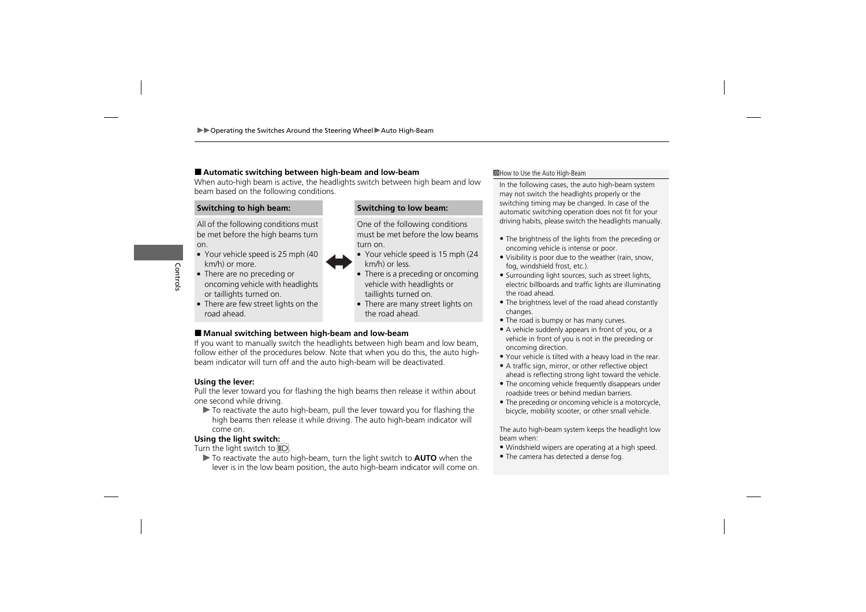## ■ **Automatic switching between high-beam and low-beam**

When auto-high beam is active, the headlights switch between high beam and low beam based on the following conditions.

# **Switching to high beam: Switching to low beam:**

All of the following conditions must be met before the high beams turn on.



- Your vehicle speed is 25 mph (40 km/h) or more.
- There are no preceding or oncoming vehicle with headlights or taillights turned on.
- There are few street lights on the road ahead.

One of the following conditions must be met before the low beams turn on.

- Your vehicle speed is 15 mph (24 km/h) or less.
- There is a preceding or oncoming vehicle with headlights or taillights turned on.
- There are many street lights on the road ahead.

# ■ Manual switching between high-beam and low-beam

If you want to manually switch the headlights between high beam and low beam, follow either of the procedures below. Note that when you do this, the auto highbeam indicator will turn off and the auto high-beam will be deactivated.

### **Using the lever:**

Pull the lever toward you for flashing the high beams then release it within about one second while driving.

 $\blacktriangleright$  To reactivate the auto high-beam, pull the lever toward you for flashing the high beams then release it while driving. The auto high-beam indicator will come on.

# **Using the light switch:**

Turn the light switch to  $E$ .

▶ To reactivate the auto high-beam, turn the light switch to **AUTO** when the lever is in the low beam position, the auto high-beam indicator will come on.

#### >How to Use the Auto High-Beam

In the following cases, the auto high-beam system may not switch the headlights properly or the switching timing may be changed. In case of the automatic switching operation does not fit for your driving habits, please switch the headlights manually.

- The brightness of the lights from the preceding or oncoming vehicle is intense or poor.
- Visibility is poor due to the weather (rain, snow, fog, windshield frost, etc.).
- Surrounding light sources, such as street lights, electric billboards and traffic lights are illuminating the road ahead.
- The brightness level of the road ahead constantly changes.
- The road is bumpy or has many curves.
- A vehicle suddenly appears in front of you, or a vehicle in front of you is not in the preceding or oncoming direction.
- Your vehicle is tilted with a heavy load in the rear.
- A traffic sign, mirror, or other reflective object ahead is reflecting strong light toward the vehicle.
- The oncoming vehicle frequently disappears under roadside trees or behind median barriers.
- The preceding or oncoming vehicle is a motorcycle, bicycle, mobility scooter, or other small vehicle.

The auto high-beam system keeps the headlight low beam when:

- Windshield wipers are operating at a high speed.
- The camera has detected a dense fog.